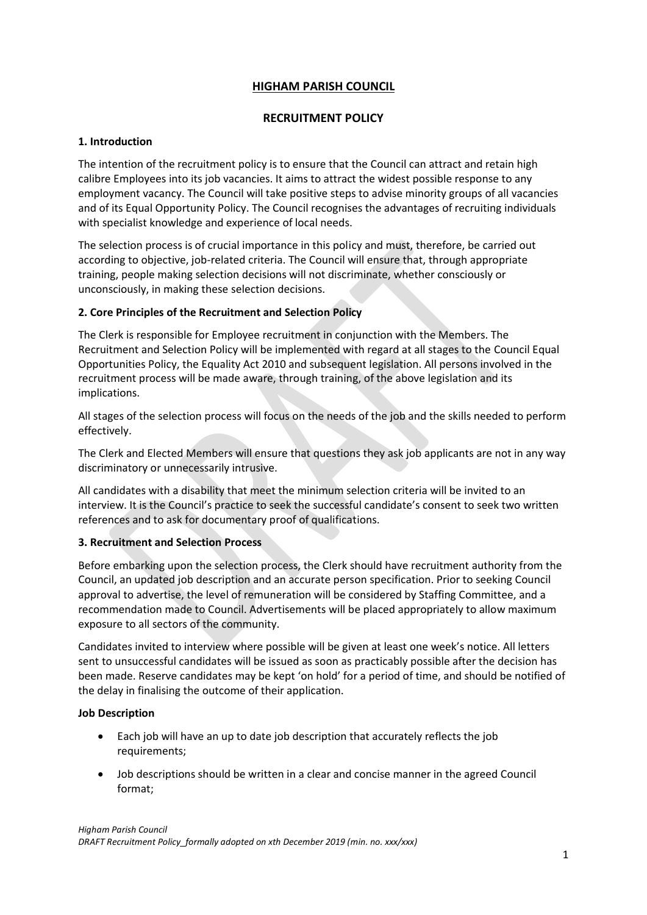# **HIGHAM PARISH COUNCIL**

# **RECRUITMENT POLICY**

# **1. Introduction**

The intention of the recruitment policy is to ensure that the Council can attract and retain high calibre Employees into its job vacancies. It aims to attract the widest possible response to any employment vacancy. The Council will take positive steps to advise minority groups of all vacancies and of its Equal Opportunity Policy. The Council recognises the advantages of recruiting individuals with specialist knowledge and experience of local needs.

The selection process is of crucial importance in this policy and must, therefore, be carried out according to objective, job-related criteria. The Council will ensure that, through appropriate training, people making selection decisions will not discriminate, whether consciously or unconsciously, in making these selection decisions.

## **2. Core Principles of the Recruitment and Selection Policy**

The Clerk is responsible for Employee recruitment in conjunction with the Members. The Recruitment and Selection Policy will be implemented with regard at all stages to the Council Equal Opportunities Policy, the Equality Act 2010 and subsequent legislation. All persons involved in the recruitment process will be made aware, through training, of the above legislation and its implications.

All stages of the selection process will focus on the needs of the job and the skills needed to perform effectively.

The Clerk and Elected Members will ensure that questions they ask job applicants are not in any way discriminatory or unnecessarily intrusive.

All candidates with a disability that meet the minimum selection criteria will be invited to an interview. It is the Council's practice to seek the successful candidate's consent to seek two written references and to ask for documentary proof of qualifications.

## **3. Recruitment and Selection Process**

Before embarking upon the selection process, the Clerk should have recruitment authority from the Council, an updated job description and an accurate person specification. Prior to seeking Council approval to advertise, the level of remuneration will be considered by Staffing Committee, and a recommendation made to Council. Advertisements will be placed appropriately to allow maximum exposure to all sectors of the community.

Candidates invited to interview where possible will be given at least one week's notice. All letters sent to unsuccessful candidates will be issued as soon as practicably possible after the decision has been made. Reserve candidates may be kept 'on hold' for a period of time, and should be notified of the delay in finalising the outcome of their application.

## **Job Description**

- Each job will have an up to date job description that accurately reflects the job requirements;
- Job descriptions should be written in a clear and concise manner in the agreed Council format;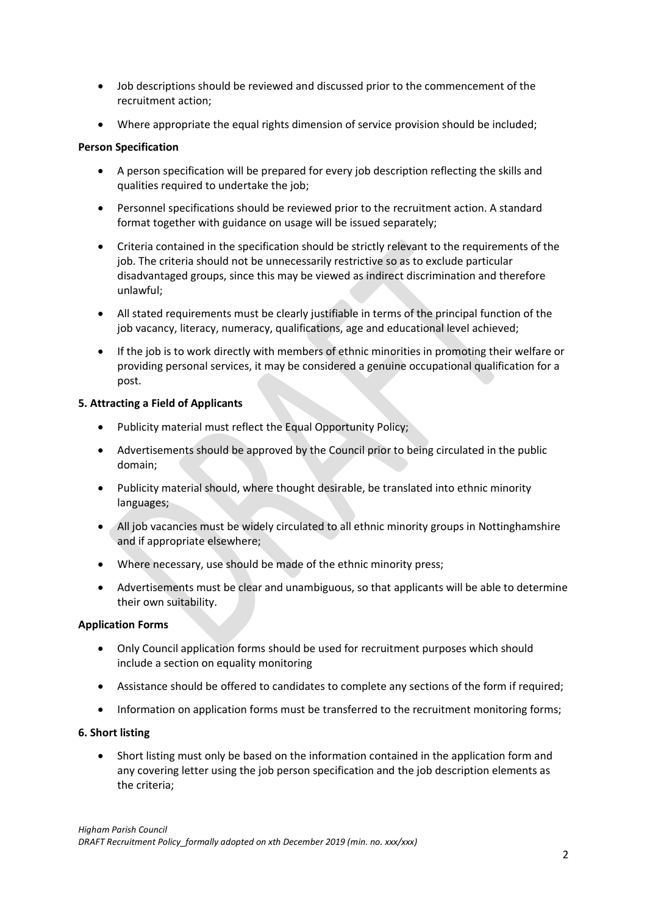- Job descriptions should be reviewed and discussed prior to the commencement of the recruitment action;
- Where appropriate the equal rights dimension of service provision should be included;

### **Person Specification**

- A person specification will be prepared for every job description reflecting the skills and qualities required to undertake the job;
- Personnel specifications should be reviewed prior to the recruitment action. A standard format together with guidance on usage will be issued separately;
- Criteria contained in the specification should be strictly relevant to the requirements of the job. The criteria should not be unnecessarily restrictive so as to exclude particular disadvantaged groups, since this may be viewed as indirect discrimination and therefore unlawful;
- All stated requirements must be clearly justifiable in terms of the principal function of the job vacancy, literacy, numeracy, qualifications, age and educational level achieved;
- If the job is to work directly with members of ethnic minorities in promoting their welfare or providing personal services, it may be considered a genuine occupational qualification for a post.

## **5. Attracting a Field of Applicants**

- Publicity material must reflect the Equal Opportunity Policy;
- Advertisements should be approved by the Council prior to being circulated in the public domain;
- Publicity material should, where thought desirable, be translated into ethnic minority languages;
- All job vacancies must be widely circulated to all ethnic minority groups in Nottinghamshire and if appropriate elsewhere;
- Where necessary, use should be made of the ethnic minority press;
- Advertisements must be clear and unambiguous, so that applicants will be able to determine their own suitability.

#### **Application Forms**

- Only Council application forms should be used for recruitment purposes which should include a section on equality monitoring
- Assistance should be offered to candidates to complete any sections of the form if required;
- Information on application forms must be transferred to the recruitment monitoring forms;

#### **6. Short listing**

• Short listing must only be based on the information contained in the application form and any covering letter using the job person specification and the job description elements as the criteria;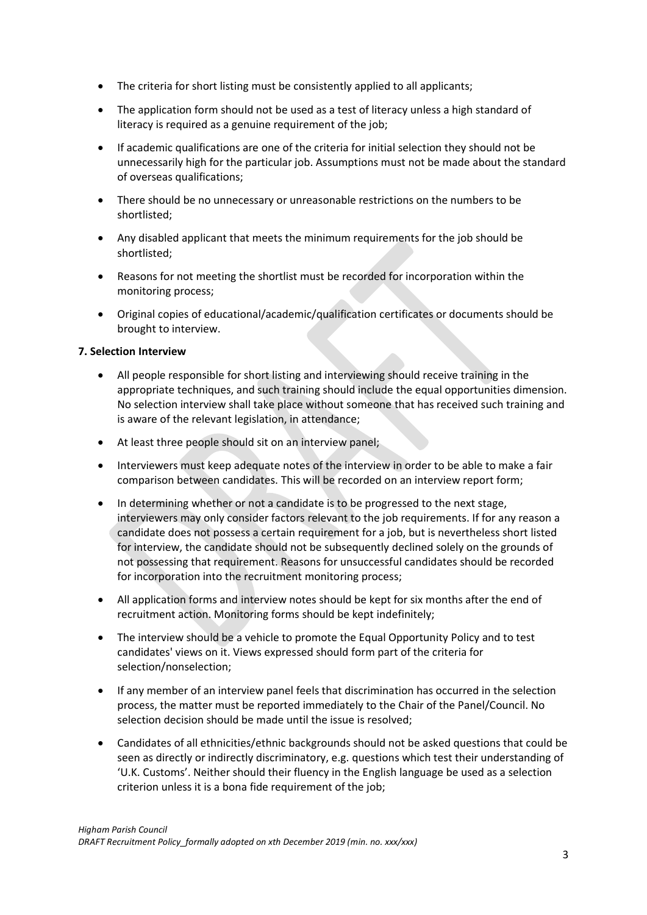- The criteria for short listing must be consistently applied to all applicants;
- The application form should not be used as a test of literacy unless a high standard of literacy is required as a genuine requirement of the job;
- If academic qualifications are one of the criteria for initial selection they should not be unnecessarily high for the particular job. Assumptions must not be made about the standard of overseas qualifications;
- There should be no unnecessary or unreasonable restrictions on the numbers to be shortlisted;
- Any disabled applicant that meets the minimum requirements for the job should be shortlisted;
- Reasons for not meeting the shortlist must be recorded for incorporation within the monitoring process;
- Original copies of educational/academic/qualification certificates or documents should be brought to interview.

## **7. Selection Interview**

- All people responsible for short listing and interviewing should receive training in the appropriate techniques, and such training should include the equal opportunities dimension. No selection interview shall take place without someone that has received such training and is aware of the relevant legislation, in attendance;
- At least three people should sit on an interview panel;
- Interviewers must keep adequate notes of the interview in order to be able to make a fair comparison between candidates. This will be recorded on an interview report form;
- In determining whether or not a candidate is to be progressed to the next stage, interviewers may only consider factors relevant to the job requirements. If for any reason a candidate does not possess a certain requirement for a job, but is nevertheless short listed for interview, the candidate should not be subsequently declined solely on the grounds of not possessing that requirement. Reasons for unsuccessful candidates should be recorded for incorporation into the recruitment monitoring process;
- All application forms and interview notes should be kept for six months after the end of recruitment action. Monitoring forms should be kept indefinitely;
- The interview should be a vehicle to promote the Equal Opportunity Policy and to test candidates' views on it. Views expressed should form part of the criteria for selection/nonselection;
- If any member of an interview panel feels that discrimination has occurred in the selection process, the matter must be reported immediately to the Chair of the Panel/Council. No selection decision should be made until the issue is resolved;
- Candidates of all ethnicities/ethnic backgrounds should not be asked questions that could be seen as directly or indirectly discriminatory, e.g. questions which test their understanding of 'U.K. Customs'. Neither should their fluency in the English language be used as a selection criterion unless it is a bona fide requirement of the job;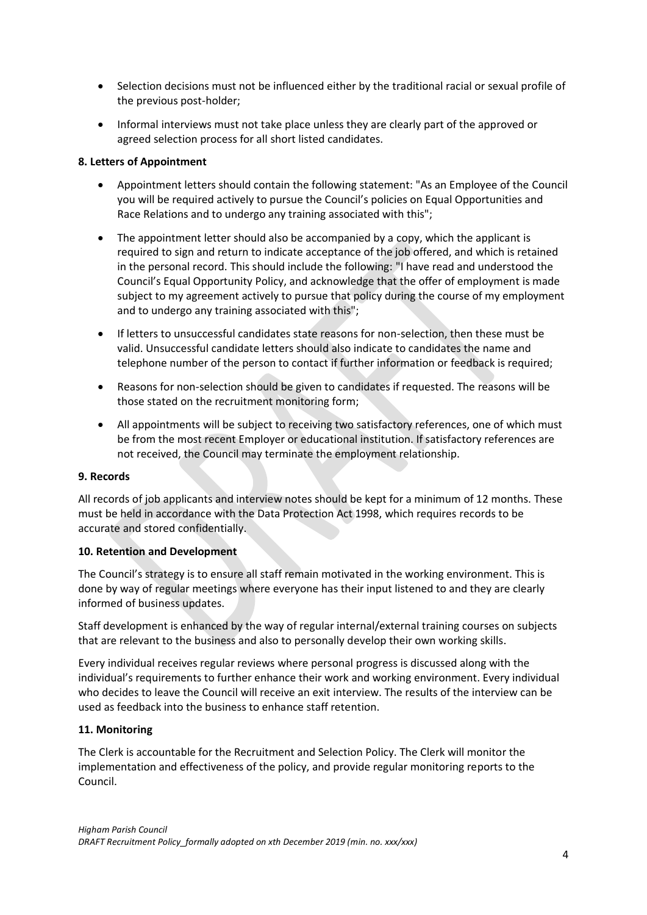- Selection decisions must not be influenced either by the traditional racial or sexual profile of the previous post-holder;
- Informal interviews must not take place unless they are clearly part of the approved or agreed selection process for all short listed candidates.

## **8. Letters of Appointment**

- Appointment letters should contain the following statement: "As an Employee of the Council you will be required actively to pursue the Council's policies on Equal Opportunities and Race Relations and to undergo any training associated with this";
- The appointment letter should also be accompanied by a copy, which the applicant is required to sign and return to indicate acceptance of the job offered, and which is retained in the personal record. This should include the following: "I have read and understood the Council's Equal Opportunity Policy, and acknowledge that the offer of employment is made subject to my agreement actively to pursue that policy during the course of my employment and to undergo any training associated with this";
- If letters to unsuccessful candidates state reasons for non-selection, then these must be valid. Unsuccessful candidate letters should also indicate to candidates the name and telephone number of the person to contact if further information or feedback is required;
- Reasons for non-selection should be given to candidates if requested. The reasons will be those stated on the recruitment monitoring form;
- All appointments will be subject to receiving two satisfactory references, one of which must be from the most recent Employer or educational institution. If satisfactory references are not received, the Council may terminate the employment relationship.

#### **9. Records**

All records of job applicants and interview notes should be kept for a minimum of 12 months. These must be held in accordance with the Data Protection Act 1998, which requires records to be accurate and stored confidentially.

#### **10. Retention and Development**

The Council's strategy is to ensure all staff remain motivated in the working environment. This is done by way of regular meetings where everyone has their input listened to and they are clearly informed of business updates.

Staff development is enhanced by the way of regular internal/external training courses on subjects that are relevant to the business and also to personally develop their own working skills.

Every individual receives regular reviews where personal progress is discussed along with the individual's requirements to further enhance their work and working environment. Every individual who decides to leave the Council will receive an exit interview. The results of the interview can be used as feedback into the business to enhance staff retention.

#### **11. Monitoring**

The Clerk is accountable for the Recruitment and Selection Policy. The Clerk will monitor the implementation and effectiveness of the policy, and provide regular monitoring reports to the Council.